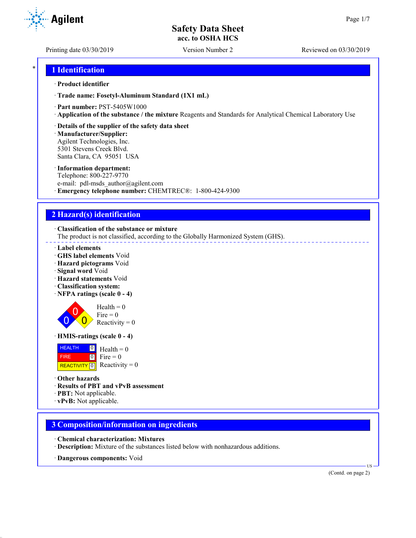Printing date 03/30/2019 Version Number 2 Reviewed on 03/30/2019

```
* 1 Identification
```
#### · **Product identifier**

· **Trade name: Fosetyl-Aluminum Standard (1X1 mL)**

- · **Part number:** PST-5405W1000
- · **Application of the substance / the mixture** Reagents and Standards for Analytical Chemical Laboratory Use
- · **Details of the supplier of the safety data sheet**

· **Manufacturer/Supplier:** Agilent Technologies, Inc. 5301 Stevens Creek Blvd. Santa Clara, CA 95051 USA

#### · **Information department:**

Telephone: 800-227-9770 e-mail: pdl-msds author@agilent.com · **Emergency telephone number:** CHEMTREC®: 1-800-424-9300

## **2 Hazard(s) identification**

· **Classification of the substance or mixture**

The product is not classified, according to the Globally Harmonized System (GHS).

- · **Label elements**
- · **GHS label elements** Void
- · **Hazard pictograms** Void
- · **Signal word** Void
- · **Hazard statements** Void
- · **Classification system:**
- · **NFPA ratings (scale 0 4)**

 $\overline{0}$  $\overline{0}$  $\overline{0}$  $Health = 0$ Fire  $= 0$ Reactivity  $= 0$ 

· **HMIS-ratings (scale 0 - 4)**

**HEALTH**  FIRE  $\boxed{0}$  $0$  Fire = 0  $Health = 0$ 

**REACTIVITY** 0 Reactivity  $= 0$ 

- · **Other hazards**
- · **Results of PBT and vPvB assessment**
- · **PBT:** Not applicable.
- · **vPvB:** Not applicable.

## **3 Composition/information on ingredients**

- · **Chemical characterization: Mixtures**
- · **Description:** Mixture of the substances listed below with nonhazardous additions.
- · **Dangerous components:** Void

(Contd. on page 2)

US

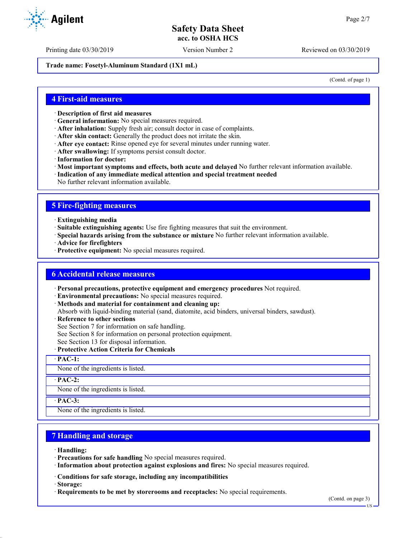**Trade name: Fosetyl-Aluminum Standard (1X1 mL)**

(Contd. of page 1)

## **4 First-aid measures**

- · **Description of first aid measures**
- · **General information:** No special measures required.
- · **After inhalation:** Supply fresh air; consult doctor in case of complaints.
- · **After skin contact:** Generally the product does not irritate the skin.
- · **After eye contact:** Rinse opened eye for several minutes under running water.
- · **After swallowing:** If symptoms persist consult doctor.
- · **Information for doctor:**
- · **Most important symptoms and effects, both acute and delayed** No further relevant information available.
- · **Indication of any immediate medical attention and special treatment needed**
- No further relevant information available.

## **5 Fire-fighting measures**

- · **Extinguishing media**
- · **Suitable extinguishing agents:** Use fire fighting measures that suit the environment.
- · **Special hazards arising from the substance or mixture** No further relevant information available.
- · **Advice for firefighters**
- · **Protective equipment:** No special measures required.

## **6 Accidental release measures**

- · **Personal precautions, protective equipment and emergency procedures** Not required.
- · **Environmental precautions:** No special measures required.
- · **Methods and material for containment and cleaning up:** Absorb with liquid-binding material (sand, diatomite, acid binders, universal binders, sawdust).
- · **Reference to other sections**
- See Section 7 for information on safe handling.
- See Section 8 for information on personal protection equipment.
- See Section 13 for disposal information.
- · **Protective Action Criteria for Chemicals**
- · **PAC-1:**

None of the ingredients is listed.

· **PAC-2:**

None of the ingredients is listed.

· **PAC-3:**

None of the ingredients is listed.

## **7 Handling and storage**

- · **Handling:**
- · **Precautions for safe handling** No special measures required.
- · **Information about protection against explosions and fires:** No special measures required.
- · **Conditions for safe storage, including any incompatibilities**
- · **Storage:**
- · **Requirements to be met by storerooms and receptacles:** No special requirements.

US



Printing date 03/30/2019 Version Number 2 Reviewed on 03/30/2019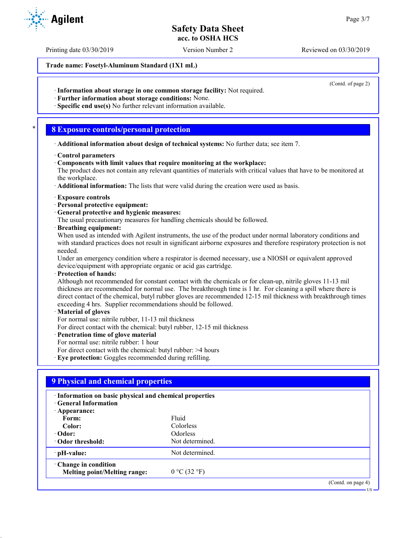Printing date 03/30/2019 Version Number 2 Reviewed on 03/30/2019

**Trade name: Fosetyl-Aluminum Standard (1X1 mL)**

(Contd. of page 2)

US

· **Information about storage in one common storage facility:** Not required.

· **Further information about storage conditions:** None.

· **Specific end use(s)** No further relevant information available.

## \* **8 Exposure controls/personal protection**

- · **Additional information about design of technical systems:** No further data; see item 7.
- · **Control parameters**
- · **Components with limit values that require monitoring at the workplace:**

The product does not contain any relevant quantities of materials with critical values that have to be monitored at the workplace.

· **Additional information:** The lists that were valid during the creation were used as basis.

- · **Exposure controls**
- · **Personal protective equipment:**
- · **General protective and hygienic measures:**

The usual precautionary measures for handling chemicals should be followed.

· **Breathing equipment:**

When used as intended with Agilent instruments, the use of the product under normal laboratory conditions and with standard practices does not result in significant airborne exposures and therefore respiratory protection is not needed.

Under an emergency condition where a respirator is deemed necessary, use a NIOSH or equivalent approved device/equipment with appropriate organic or acid gas cartridge.

· **Protection of hands:**

Although not recommended for constant contact with the chemicals or for clean-up, nitrile gloves 11-13 mil thickness are recommended for normal use. The breakthrough time is 1 hr. For cleaning a spill where there is direct contact of the chemical, butyl rubber gloves are recommended 12-15 mil thickness with breakthrough times exceeding 4 hrs. Supplier recommendations should be followed.

## · **Material of gloves**

For normal use: nitrile rubber, 11-13 mil thickness

For direct contact with the chemical: butyl rubber, 12-15 mil thickness

· **Penetration time of glove material**

For normal use: nitrile rubber: 1 hour

For direct contact with the chemical: butyl rubber: >4 hours

· **Eye protection:** Goggles recommended during refilling.

| · Information on basic physical and chemical properties |                 |  |
|---------------------------------------------------------|-----------------|--|
| <b>Ceneral Information</b>                              |                 |  |
| · Appearance:                                           |                 |  |
| Form:                                                   | Fluid           |  |
| Color:                                                  | Colorless       |  |
| $\cdot$ Odor:                                           | <b>Odorless</b> |  |
| Odor threshold:                                         | Not determined. |  |
| $\cdot$ pH-value:                                       | Not determined. |  |
| Change in condition                                     |                 |  |
| Melting point/Melting range:                            | 0 °C (32 °F)    |  |

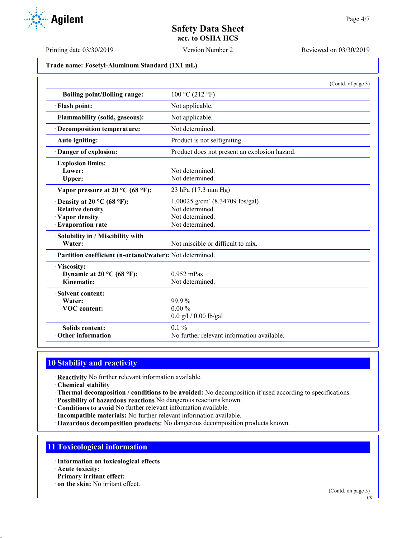**Trade name: Fosetyl-Aluminum Standard (1X1 mL)**

|                                                                                                  | (Contd. of page 3)                                                                                   |
|--------------------------------------------------------------------------------------------------|------------------------------------------------------------------------------------------------------|
| <b>Boiling point/Boiling range:</b>                                                              | 100 °C (212 °F)                                                                                      |
| · Flash point:                                                                                   | Not applicable.                                                                                      |
| · Flammability (solid, gaseous):                                                                 | Not applicable.                                                                                      |
| · Decomposition temperature:                                                                     | Not determined.                                                                                      |
| · Auto igniting:                                                                                 | Product is not selfigniting.                                                                         |
| Danger of explosion:                                                                             | Product does not present an explosion hazard.                                                        |
| <b>Explosion limits:</b><br>Lower:<br>Upper:                                                     | Not determined.<br>Not determined.                                                                   |
| $\cdot$ Vapor pressure at 20 °C (68 °F):                                                         | 23 hPa (17.3 mm Hg)                                                                                  |
| $\cdot$ Density at 20 °C (68 °F):<br>· Relative density<br>· Vapor density<br>· Evaporation rate | 1.00025 g/cm <sup>3</sup> (8.34709 lbs/gal)<br>Not determined.<br>Not determined.<br>Not determined. |
| · Solubility in / Miscibility with<br>Water:                                                     | Not miscible or difficult to mix.                                                                    |
| · Partition coefficient (n-octanol/water): Not determined.                                       |                                                                                                      |
| · Viscosity:<br>Dynamic at 20 °C (68 °F):<br>Kinematic:                                          | $0.952$ mPas<br>Not determined.                                                                      |
| · Solvent content:<br>Water:<br><b>VOC</b> content:                                              | 99.9%<br>$0.00 \%$<br>$0.0$ g/l / 0.00 lb/gal                                                        |
| <b>Solids content:</b><br>Other information                                                      | $0.1\%$<br>No further relevant information available.                                                |

## **10 Stability and reactivity**

· **Reactivity** No further relevant information available.

- · **Chemical stability**
- · **Thermal decomposition / conditions to be avoided:** No decomposition if used according to specifications.
- · **Possibility of hazardous reactions** No dangerous reactions known.
- · **Conditions to avoid** No further relevant information available.
- · **Incompatible materials:** No further relevant information available.
- · **Hazardous decomposition products:** No dangerous decomposition products known.

## **11 Toxicological information**

- · **Information on toxicological effects**
- · **Acute toxicity:**
- · **Primary irritant effect:**
- · **on the skin:** No irritant effect.

(Contd. on page 5)



Printing date 03/30/2019 Version Number 2 Reviewed on 03/30/2019

US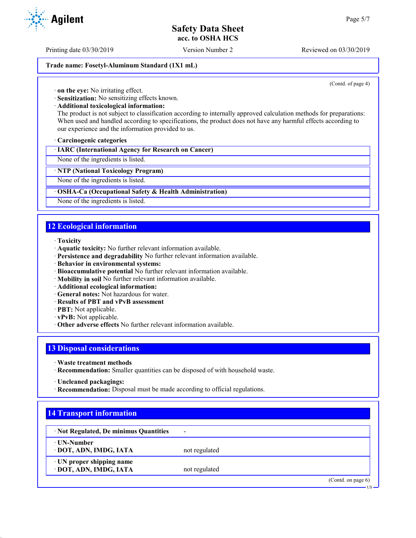Printing date 03/30/2019 Version Number 2 Reviewed on 03/30/2019

#### **Trade name: Fosetyl-Aluminum Standard (1X1 mL)**

(Contd. of page 4)

· **on the eye:** No irritating effect.

· **Sensitization:** No sensitizing effects known.

· **Additional toxicological information:**

The product is not subject to classification according to internally approved calculation methods for preparations: When used and handled according to specifications, the product does not have any harmful effects according to our experience and the information provided to us.

#### · **Carcinogenic categories**

· **IARC (International Agency for Research on Cancer)**

None of the ingredients is listed.

#### · **NTP (National Toxicology Program)**

None of the ingredients is listed.

#### · **OSHA-Ca (Occupational Safety & Health Administration)**

None of the ingredients is listed.

# **12 Ecological information**

#### · **Toxicity**

- · **Aquatic toxicity:** No further relevant information available.
- · **Persistence and degradability** No further relevant information available.
- · **Behavior in environmental systems:**
- · **Bioaccumulative potential** No further relevant information available.
- · **Mobility in soil** No further relevant information available.
- · **Additional ecological information:**
- · **General notes:** Not hazardous for water.
- · **Results of PBT and vPvB assessment**
- · **PBT:** Not applicable.
- · **vPvB:** Not applicable.
- · **Other adverse effects** No further relevant information available.

## **13 Disposal considerations**

- · **Waste treatment methods**
- · **Recommendation:** Smaller quantities can be disposed of with household waste.
- · **Uncleaned packagings:**
- · **Recommendation:** Disposal must be made according to official regulations.

| · Not Regulated, De minimus Quantities | $\overline{\phantom{a}}$ |  |
|----------------------------------------|--------------------------|--|
| ⋅ UN-Number                            |                          |  |
| · DOT, ADN, IMDG, IATA                 | not regulated            |  |
| · UN proper shipping name              |                          |  |
| · DOT, ADN, IMDG, IATA                 | not regulated            |  |

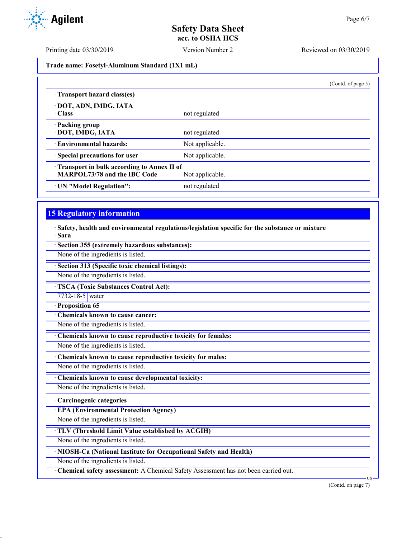**Trade name: Fosetyl-Aluminum Standard (1X1 mL)**

|                                            |                 | (Contd. of page 5) |
|--------------------------------------------|-----------------|--------------------|
| Transport hazard class(es)                 |                 |                    |
| · DOT, ADN, IMDG, IATA                     |                 |                    |
| · Class                                    | not regulated   |                    |
| · Packing group                            |                 |                    |
| · DOT, IMDG, IATA                          | not regulated   |                    |
| · Environmental hazards:                   | Not applicable. |                    |
| · Special precautions for user             | Not applicable. |                    |
| Transport in bulk according to Annex II of |                 |                    |
| <b>MARPOL73/78 and the IBC Code</b>        | Not applicable. |                    |
| · UN "Model Regulation":                   | not regulated   |                    |

# **15 Regulatory information**

· **Safety, health and environmental regulations/legislation specific for the substance or mixture** · **Sara**

· **Section 355 (extremely hazardous substances):**

None of the ingredients is listed.

· **Section 313 (Specific toxic chemical listings):**

None of the ingredients is listed.

· **TSCA (Toxic Substances Control Act):**

7732-18-5 water

· **Proposition 65**

· **Chemicals known to cause cancer:**

None of the ingredients is listed.

· **Chemicals known to cause reproductive toxicity for females:**

None of the ingredients is listed.

· **Chemicals known to cause reproductive toxicity for males:**

None of the ingredients is listed.

· **Chemicals known to cause developmental toxicity:**

None of the ingredients is listed.

## · **Carcinogenic categories**

· **EPA (Environmental Protection Agency)**

None of the ingredients is listed.

· **TLV (Threshold Limit Value established by ACGIH)**

None of the ingredients is listed.

· **NIOSH-Ca (National Institute for Occupational Safety and Health)**

None of the ingredients is listed.

· **Chemical safety assessment:** A Chemical Safety Assessment has not been carried out.

(Contd. on page 7)

US

Printing date 03/30/2019 Version Number 2 Reviewed on 03/30/2019

**Agilent**